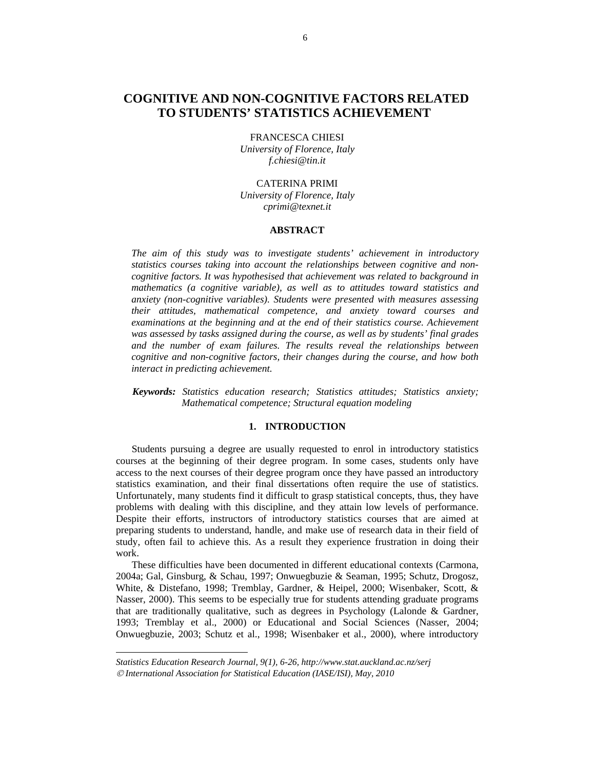# **COGNITIVE AND NON-COGNITIVE FACTORS RELATED TO STUDENTS' STATISTICS ACHIEVEMENT<sup>2</sup>**

FRANCESCA CHIESI *University of Florence, Italy f.chiesi@tin.it* 

CATERINA PRIMI *University of Florence, Italy cprimi@texnet.it*

#### **ABSTRACT**

*The aim of this study was to investigate students' achievement in introductory statistics courses taking into account the relationships between cognitive and noncognitive factors. It was hypothesised that achievement was related to background in mathematics (a cognitive variable), as well as to attitudes toward statistics and anxiety (non-cognitive variables). Students were presented with measures assessing their attitudes, mathematical competence, and anxiety toward courses and examinations at the beginning and at the end of their statistics course. Achievement was assessed by tasks assigned during the course, as well as by students' final grades and the number of exam failures. The results reveal the relationships between cognitive and non-cognitive factors, their changes during the course, and how both interact in predicting achievement.* 

*Keywords: Statistics education research; Statistics attitudes; Statistics anxiety; Mathematical competence; Structural equation modeling* 

## **1. INTRODUCTION**

Students pursuing a degree are usually requested to enrol in introductory statistics courses at the beginning of their degree program. In some cases, students only have access to the next courses of their degree program once they have passed an introductory statistics examination, and their final dissertations often require the use of statistics. Unfortunately, many students find it difficult to grasp statistical concepts, thus, they have problems with dealing with this discipline, and they attain low levels of performance. Despite their efforts, instructors of introductory statistics courses that are aimed at preparing students to understand, handle, and make use of research data in their field of study, often fail to achieve this. As a result they experience frustration in doing their work.

These difficulties have been documented in different educational contexts (Carmona, 2004a; Gal, Ginsburg, & Schau, 1997; Onwuegbuzie & Seaman, 1995; Schutz, Drogosz, White, & Distefano, 1998; Tremblay, Gardner, & Heipel, 2000; Wisenbaker, Scott, & Nasser, 2000). This seems to be especially true for students attending graduate programs that are traditionally qualitative, such as degrees in Psychology (Lalonde & Gardner, 1993; Tremblay et al., 2000) or Educational and Social Sciences (Nasser, 2004; Onwuegbuzie, 2003; Schutz et al., 1998; Wisenbaker et al., 2000), where introductory

l

*Statistics Education Research Journal, 9(1), 6-26, http://www.stat.auckland.ac.nz/serj*  © *International Association for Statistical Education (IASE/ISI), May, 2010*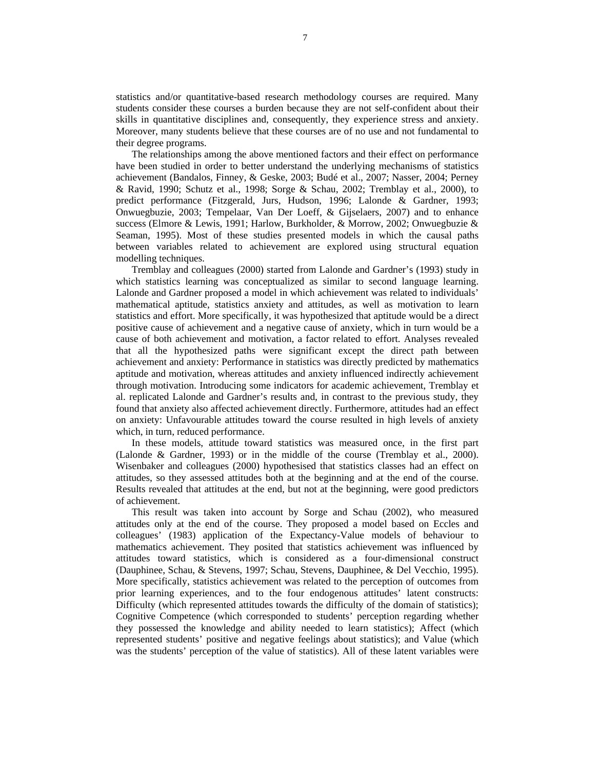statistics and/or quantitative-based research methodology courses are required. Many students consider these courses a burden because they are not self-confident about their skills in quantitative disciplines and, consequently, they experience stress and anxiety. Moreover, many students believe that these courses are of no use and not fundamental to their degree programs.

The relationships among the above mentioned factors and their effect on performance have been studied in order to better understand the underlying mechanisms of statistics achievement (Bandalos, Finney, & Geske, 2003; Budé et al., 2007; Nasser, 2004; Perney & Ravid, 1990; Schutz et al., 1998; Sorge & Schau, 2002; Tremblay et al., 2000), to predict performance (Fitzgerald, Jurs, Hudson, 1996; Lalonde & Gardner, 1993; Onwuegbuzie, 2003; Tempelaar, Van Der Loeff, & Gijselaers, 2007) and to enhance success (Elmore & Lewis, 1991; Harlow, Burkholder, & Morrow, 2002; Onwuegbuzie & Seaman, 1995). Most of these studies presented models in which the causal paths between variables related to achievement are explored using structural equation modelling techniques.

Tremblay and colleagues (2000) started from Lalonde and Gardner's (1993) study in which statistics learning was conceptualized as similar to second language learning. Lalonde and Gardner proposed a model in which achievement was related to individuals' mathematical aptitude, statistics anxiety and attitudes, as well as motivation to learn statistics and effort. More specifically, it was hypothesized that aptitude would be a direct positive cause of achievement and a negative cause of anxiety, which in turn would be a cause of both achievement and motivation, a factor related to effort. Analyses revealed that all the hypothesized paths were significant except the direct path between achievement and anxiety: Performance in statistics was directly predicted by mathematics aptitude and motivation, whereas attitudes and anxiety influenced indirectly achievement through motivation. Introducing some indicators for academic achievement, Tremblay et al. replicated Lalonde and Gardner's results and, in contrast to the previous study, they found that anxiety also affected achievement directly. Furthermore, attitudes had an effect on anxiety: Unfavourable attitudes toward the course resulted in high levels of anxiety which, in turn, reduced performance.

In these models, attitude toward statistics was measured once, in the first part (Lalonde & Gardner, 1993) or in the middle of the course (Tremblay et al., 2000). Wisenbaker and colleagues (2000) hypothesised that statistics classes had an effect on attitudes, so they assessed attitudes both at the beginning and at the end of the course. Results revealed that attitudes at the end, but not at the beginning, were good predictors of achievement.

This result was taken into account by Sorge and Schau (2002), who measured attitudes only at the end of the course. They proposed a model based on Eccles and colleagues' (1983) application of the Expectancy-Value models of behaviour to mathematics achievement. They posited that statistics achievement was influenced by attitudes toward statistics, which is considered as a four-dimensional construct (Dauphinee, Schau, & Stevens, 1997; Schau, Stevens, Dauphinee, & Del Vecchio, 1995). More specifically, statistics achievement was related to the perception of outcomes from prior learning experiences, and to the four endogenous attitudes' latent constructs: Difficulty (which represented attitudes towards the difficulty of the domain of statistics); Cognitive Competence (which corresponded to students' perception regarding whether they possessed the knowledge and ability needed to learn statistics); Affect (which represented students' positive and negative feelings about statistics); and Value (which was the students' perception of the value of statistics). All of these latent variables were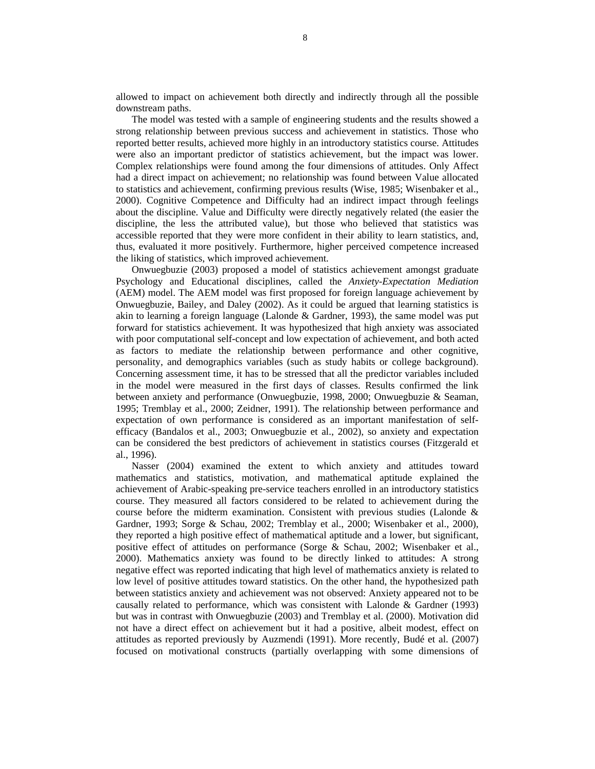allowed to impact on achievement both directly and indirectly through all the possible downstream paths.

The model was tested with a sample of engineering students and the results showed a strong relationship between previous success and achievement in statistics. Those who reported better results, achieved more highly in an introductory statistics course. Attitudes were also an important predictor of statistics achievement, but the impact was lower. Complex relationships were found among the four dimensions of attitudes. Only Affect had a direct impact on achievement; no relationship was found between Value allocated to statistics and achievement, confirming previous results (Wise, 1985; Wisenbaker et al., 2000). Cognitive Competence and Difficulty had an indirect impact through feelings about the discipline. Value and Difficulty were directly negatively related (the easier the discipline, the less the attributed value), but those who believed that statistics was accessible reported that they were more confident in their ability to learn statistics, and, thus, evaluated it more positively. Furthermore, higher perceived competence increased the liking of statistics, which improved achievement.

Onwuegbuzie (2003) proposed a model of statistics achievement amongst graduate Psychology and Educational disciplines, called the *Anxiety-Expectation Mediation* (AEM) model. The AEM model was first proposed for foreign language achievement by Onwuegbuzie, Bailey, and Daley (2002). As it could be argued that learning statistics is akin to learning a foreign language (Lalonde & Gardner, 1993), the same model was put forward for statistics achievement. It was hypothesized that high anxiety was associated with poor computational self-concept and low expectation of achievement, and both acted as factors to mediate the relationship between performance and other cognitive, personality, and demographics variables (such as study habits or college background). Concerning assessment time, it has to be stressed that all the predictor variables included in the model were measured in the first days of classes. Results confirmed the link between anxiety and performance (Onwuegbuzie, 1998, 2000; Onwuegbuzie & Seaman, 1995; Tremblay et al., 2000; Zeidner, 1991). The relationship between performance and expectation of own performance is considered as an important manifestation of selfefficacy (Bandalos et al., 2003; Onwuegbuzie et al., 2002), so anxiety and expectation can be considered the best predictors of achievement in statistics courses (Fitzgerald et al., 1996).

Nasser (2004) examined the extent to which anxiety and attitudes toward mathematics and statistics, motivation, and mathematical aptitude explained the achievement of Arabic-speaking pre-service teachers enrolled in an introductory statistics course. They measured all factors considered to be related to achievement during the course before the midterm examination. Consistent with previous studies (Lalonde & Gardner, 1993; Sorge & Schau, 2002; Tremblay et al., 2000; Wisenbaker et al., 2000), they reported a high positive effect of mathematical aptitude and a lower, but significant, positive effect of attitudes on performance (Sorge & Schau, 2002; Wisenbaker et al., 2000). Mathematics anxiety was found to be directly linked to attitudes: A strong negative effect was reported indicating that high level of mathematics anxiety is related to low level of positive attitudes toward statistics. On the other hand, the hypothesized path between statistics anxiety and achievement was not observed: Anxiety appeared not to be causally related to performance, which was consistent with Lalonde & Gardner (1993) but was in contrast with Onwuegbuzie (2003) and Tremblay et al. (2000). Motivation did not have a direct effect on achievement but it had a positive, albeit modest, effect on attitudes as reported previously by Auzmendi (1991). More recently, Budé et al. (2007) focused on motivational constructs (partially overlapping with some dimensions of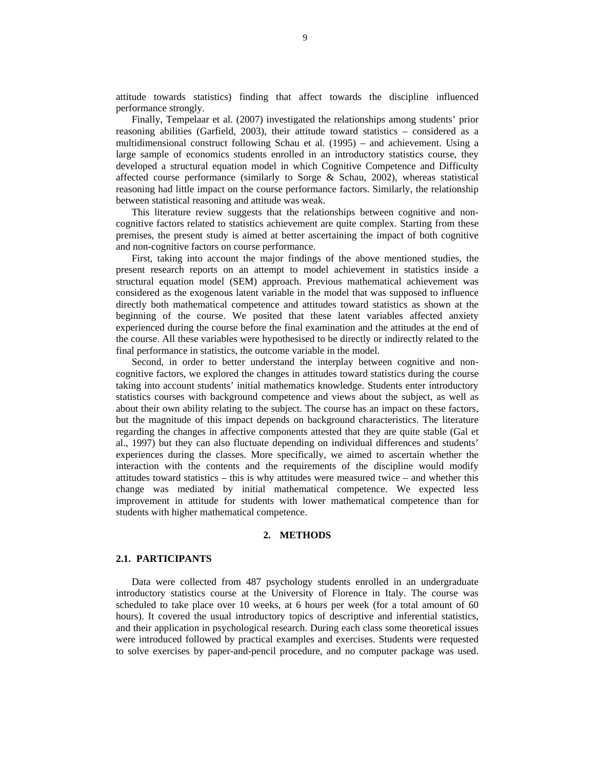attitude towards statistics) finding that affect towards the discipline influenced performance strongly.

Finally, Tempelaar et al. (2007) investigated the relationships among students' prior reasoning abilities (Garfield, 2003), their attitude toward statistics – considered as a multidimensional construct following Schau et al. (1995) – and achievement. Using a large sample of economics students enrolled in an introductory statistics course, they developed a structural equation model in which Cognitive Competence and Difficulty affected course performance (similarly to Sorge & Schau, 2002), whereas statistical reasoning had little impact on the course performance factors. Similarly, the relationship between statistical reasoning and attitude was weak.

This literature review suggests that the relationships between cognitive and noncognitive factors related to statistics achievement are quite complex. Starting from these premises, the present study is aimed at better ascertaining the impact of both cognitive and non-cognitive factors on course performance.

First, taking into account the major findings of the above mentioned studies, the present research reports on an attempt to model achievement in statistics inside a structural equation model (SEM) approach. Previous mathematical achievement was considered as the exogenous latent variable in the model that was supposed to influence directly both mathematical competence and attitudes toward statistics as shown at the beginning of the course. We posited that these latent variables affected anxiety experienced during the course before the final examination and the attitudes at the end of the course. All these variables were hypothesised to be directly or indirectly related to the final performance in statistics, the outcome variable in the model.

Second, in order to better understand the interplay between cognitive and noncognitive factors, we explored the changes in attitudes toward statistics during the course taking into account students' initial mathematics knowledge. Students enter introductory statistics courses with background competence and views about the subject, as well as about their own ability relating to the subject. The course has an impact on these factors, but the magnitude of this impact depends on background characteristics. The literature regarding the changes in affective components attested that they are quite stable (Gal et al., 1997) but they can also fluctuate depending on individual differences and students' experiences during the classes. More specifically, we aimed to ascertain whether the interaction with the contents and the requirements of the discipline would modify attitudes toward statistics – this is why attitudes were measured twice – and whether this change was mediated by initial mathematical competence. We expected less improvement in attitude for students with lower mathematical competence than for students with higher mathematical competence.

#### **2. METHODS**

#### **2.1. PARTICIPANTS**

Data were collected from 487 psychology students enrolled in an undergraduate introductory statistics course at the University of Florence in Italy. The course was scheduled to take place over 10 weeks, at 6 hours per week (for a total amount of 60 hours). It covered the usual introductory topics of descriptive and inferential statistics, and their application in psychological research. During each class some theoretical issues were introduced followed by practical examples and exercises. Students were requested to solve exercises by paper-and-pencil procedure, and no computer package was used.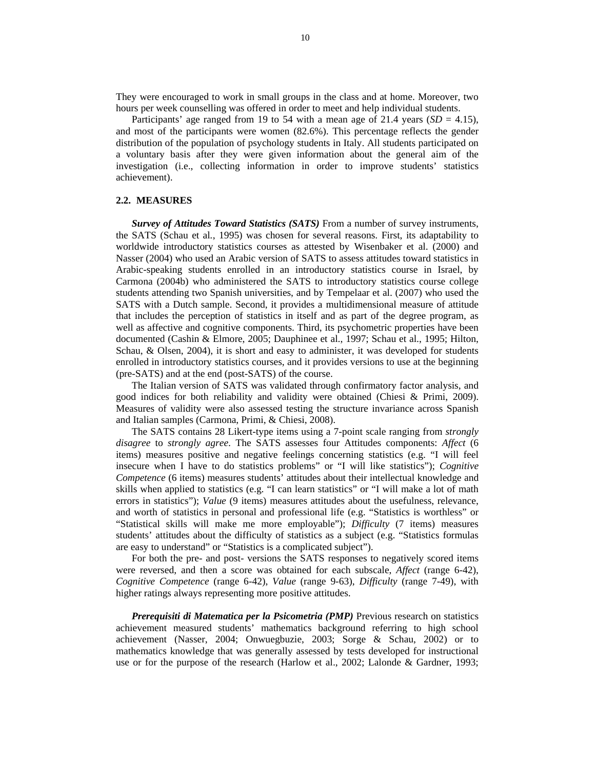They were encouraged to work in small groups in the class and at home. Moreover, two hours per week counselling was offered in order to meet and help individual students.

Participants' age ranged from 19 to 54 with a mean age of 21.4 years  $(SD = 4.15)$ , and most of the participants were women (82.6%). This percentage reflects the gender distribution of the population of psychology students in Italy. All students participated on a voluntary basis after they were given information about the general aim of the investigation (i.e., collecting information in order to improve students' statistics achievement).

#### **2.2. MEASURES**

*Survey of Attitudes Toward Statistics (SATS)* From a number of survey instruments, the SATS (Schau et al*.*, 1995) was chosen for several reasons. First, its adaptability to worldwide introductory statistics courses as attested by Wisenbaker et al. (2000) and Nasser (2004) who used an Arabic version of SATS to assess attitudes toward statistics in Arabic-speaking students enrolled in an introductory statistics course in Israel, by Carmona (2004b) who administered the SATS to introductory statistics course college students attending two Spanish universities, and by Tempelaar et al. (2007) who used the SATS with a Dutch sample. Second, it provides a multidimensional measure of attitude that includes the perception of statistics in itself and as part of the degree program, as well as affective and cognitive components. Third, its psychometric properties have been documented (Cashin & Elmore, 2005; Dauphinee et al., 1997; Schau et al., 1995; Hilton, Schau, & Olsen, 2004), it is short and easy to administer, it was developed for students enrolled in introductory statistics courses, and it provides versions to use at the beginning (pre-SATS) and at the end (post-SATS) of the course.

The Italian version of SATS was validated through confirmatory factor analysis, and good indices for both reliability and validity were obtained (Chiesi & Primi, 2009). Measures of validity were also assessed testing the structure invariance across Spanish and Italian samples (Carmona, Primi, & Chiesi, 2008).

The SATS contains 28 Likert-type items using a 7-point scale ranging from *strongly disagree* to *strongly agree*. The SATS assesses four Attitudes components: *Affect* (6 items) measures positive and negative feelings concerning statistics (e.g. "I will feel insecure when I have to do statistics problems" or "I will like statistics"); *Cognitive Competence* (6 items) measures students' attitudes about their intellectual knowledge and skills when applied to statistics (e.g. "I can learn statistics" or "I will make a lot of math errors in statistics"); *Value* (9 items) measures attitudes about the usefulness, relevance, and worth of statistics in personal and professional life (e.g. "Statistics is worthless" or "Statistical skills will make me more employable"); *Difficulty* (7 items) measures students' attitudes about the difficulty of statistics as a subject (e.g. "Statistics formulas are easy to understand" or "Statistics is a complicated subject").

For both the pre- and post- versions the SATS responses to negatively scored items were reversed, and then a score was obtained for each subscale, *Affect* (range 6-42), *Cognitive Competence* (range 6-42), *Value* (range 9-63), *Difficulty* (range 7-49), with higher ratings always representing more positive attitudes.

*Prerequisiti di Matematica per la Psicometria (PMP)* Previous research on statistics achievement measured students' mathematics background referring to high school achievement (Nasser, 2004; Onwuegbuzie, 2003; Sorge & Schau, 2002) or to mathematics knowledge that was generally assessed by tests developed for instructional use or for the purpose of the research (Harlow et al., 2002; Lalonde & Gardner, 1993;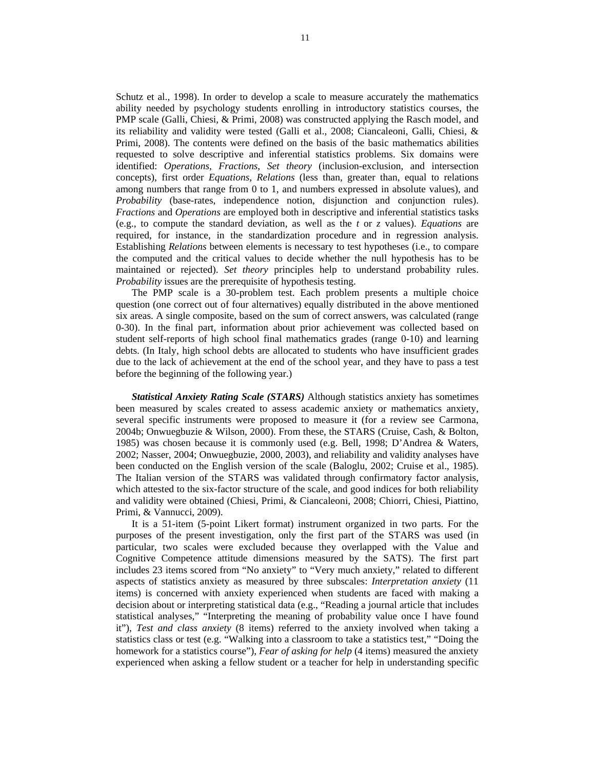Schutz et al., 1998). In order to develop a scale to measure accurately the mathematics ability needed by psychology students enrolling in introductory statistics courses, the PMP scale (Galli, Chiesi, & Primi, 2008) was constructed applying the Rasch model, and its reliability and validity were tested (Galli et al., 2008; Ciancaleoni, Galli, Chiesi, & Primi, 2008). The contents were defined on the basis of the basic mathematics abilities requested to solve descriptive and inferential statistics problems. Six domains were identified: *Operations*, *Fractions*, *Set theory* (inclusion-exclusion, and intersection concepts), first order *Equations*, *Relations* (less than, greater than, equal to relations among numbers that range from 0 to 1, and numbers expressed in absolute values), and *Probability* (base-rates, independence notion, disjunction and conjunction rules). *Fractions* and *Operations* are employed both in descriptive and inferential statistics tasks (e.g., to compute the standard deviation, as well as the *t* or *z* values). *Equations* are required, for instance, in the standardization procedure and in regression analysis. Establishing *Relations* between elements is necessary to test hypotheses (i.e., to compare the computed and the critical values to decide whether the null hypothesis has to be maintained or rejected). *Set theory* principles help to understand probability rules. *Probability* issues are the prerequisite of hypothesis testing.

The PMP scale is a 30-problem test. Each problem presents a multiple choice question (one correct out of four alternatives) equally distributed in the above mentioned six areas. A single composite, based on the sum of correct answers, was calculated (range 0-30). In the final part, information about prior achievement was collected based on student self-reports of high school final mathematics grades (range 0-10) and learning debts. (In Italy, high school debts are allocated to students who have insufficient grades due to the lack of achievement at the end of the school year, and they have to pass a test before the beginning of the following year.)

*Statistical Anxiety Rating Scale (STARS)* Although statistics anxiety has sometimes been measured by scales created to assess academic anxiety or mathematics anxiety, several specific instruments were proposed to measure it (for a review see Carmona, 2004b; Onwuegbuzie & Wilson, 2000). From these, the STARS (Cruise, Cash, & Bolton, 1985) was chosen because it is commonly used (e.g. Bell, 1998; D'Andrea & Waters, 2002; Nasser, 2004; Onwuegbuzie, 2000, 2003), and reliability and validity analyses have been conducted on the English version of the scale (Baloglu, 2002; Cruise et al., 1985). The Italian version of the STARS was validated through confirmatory factor analysis, which attested to the six-factor structure of the scale, and good indices for both reliability and validity were obtained (Chiesi, Primi, & Ciancaleoni, 2008; Chiorri, Chiesi, Piattino, Primi, & Vannucci, 2009).

It is a 51-item (5-point Likert format) instrument organized in two parts. For the purposes of the present investigation, only the first part of the STARS was used (in particular, two scales were excluded because they overlapped with the Value and Cognitive Competence attitude dimensions measured by the SATS). The first part includes 23 items scored from "No anxiety" to "Very much anxiety," related to different aspects of statistics anxiety as measured by three subscales: *Interpretation anxiety* (11 items) is concerned with anxiety experienced when students are faced with making a decision about or interpreting statistical data (e.g., "Reading a journal article that includes statistical analyses," "Interpreting the meaning of probability value once I have found it"), *Test and class anxiety* (8 items) referred to the anxiety involved when taking a statistics class or test (e.g. "Walking into a classroom to take a statistics test," "Doing the homework for a statistics course"), *Fear of asking for help* (4 items) measured the anxiety experienced when asking a fellow student or a teacher for help in understanding specific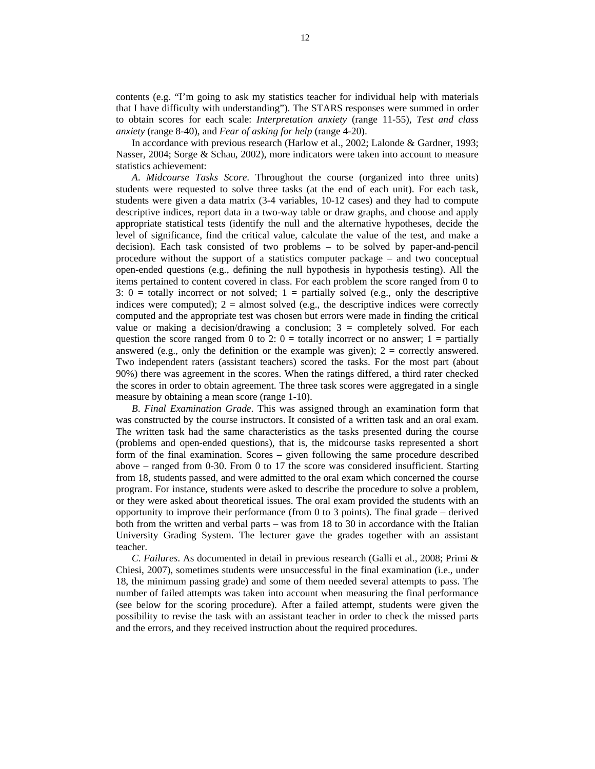contents (e.g. "I'm going to ask my statistics teacher for individual help with materials that I have difficulty with understanding"). The STARS responses were summed in order to obtain scores for each scale: *Interpretation anxiety* (range 11-55), *Test and class anxiety* (range 8-40), and *Fear of asking for help* (range 4-20).

In accordance with previous research (Harlow et al., 2002; Lalonde & Gardner, 1993; Nasser, 2004; Sorge & Schau, 2002), more indicators were taken into account to measure statistics achievement:

*A*. *Midcourse Tasks Score*. Throughout the course (organized into three units) students were requested to solve three tasks (at the end of each unit). For each task, students were given a data matrix (3-4 variables, 10-12 cases) and they had to compute descriptive indices, report data in a two-way table or draw graphs, and choose and apply appropriate statistical tests (identify the null and the alternative hypotheses, decide the level of significance, find the critical value, calculate the value of the test, and make a decision). Each task consisted of two problems – to be solved by paper-and-pencil procedure without the support of a statistics computer package – and two conceptual open-ended questions (e.g., defining the null hypothesis in hypothesis testing). All the items pertained to content covered in class. For each problem the score ranged from 0 to 3:  $0 =$  totally incorrect or not solved;  $1 =$  partially solved (e.g., only the descriptive indices were computed);  $2 =$  almost solved (e.g., the descriptive indices were correctly computed and the appropriate test was chosen but errors were made in finding the critical value or making a decision/drawing a conclusion;  $3 =$  completely solved. For each question the score ranged from 0 to 2:  $0 =$  totally incorrect or no answer;  $1 =$  partially answered (e.g., only the definition or the example was given);  $2 =$  correctly answered. Two independent raters (assistant teachers) scored the tasks. For the most part (about 90%) there was agreement in the scores. When the ratings differed, a third rater checked the scores in order to obtain agreement. The three task scores were aggregated in a single measure by obtaining a mean score (range 1-10).

*B*. *Final Examination Grade*. This was assigned through an examination form that was constructed by the course instructors. It consisted of a written task and an oral exam. The written task had the same characteristics as the tasks presented during the course (problems and open-ended questions), that is, the midcourse tasks represented a short form of the final examination. Scores – given following the same procedure described above – ranged from 0-30. From 0 to 17 the score was considered insufficient. Starting from 18, students passed, and were admitted to the oral exam which concerned the course program. For instance, students were asked to describe the procedure to solve a problem, or they were asked about theoretical issues. The oral exam provided the students with an opportunity to improve their performance (from 0 to 3 points). The final grade – derived both from the written and verbal parts – was from 18 to 30 in accordance with the Italian University Grading System. The lecturer gave the grades together with an assistant teacher.

*C*. *Failures*. As documented in detail in previous research (Galli et al., 2008; Primi & Chiesi, 2007), sometimes students were unsuccessful in the final examination (i.e., under 18, the minimum passing grade) and some of them needed several attempts to pass. The number of failed attempts was taken into account when measuring the final performance (see below for the scoring procedure). After a failed attempt, students were given the possibility to revise the task with an assistant teacher in order to check the missed parts and the errors, and they received instruction about the required procedures.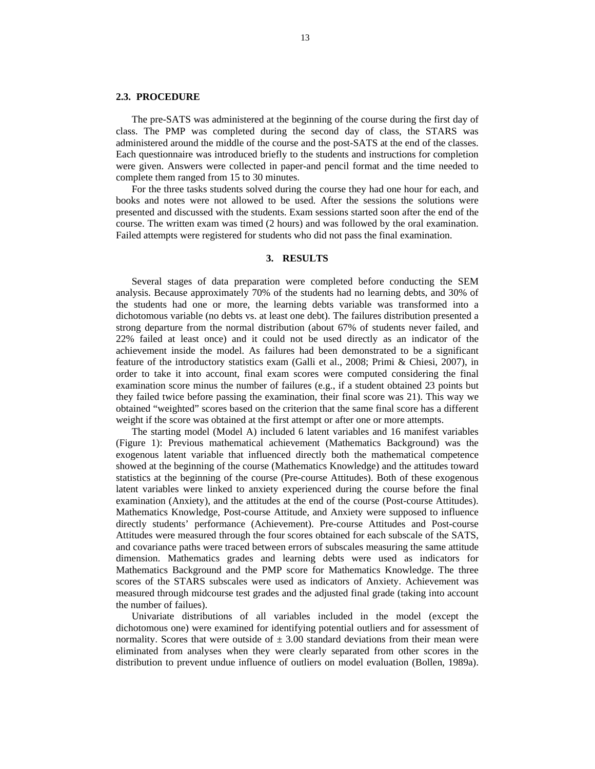## **2.3. PROCEDURE**

The pre-SATS was administered at the beginning of the course during the first day of class. The PMP was completed during the second day of class, the STARS was administered around the middle of the course and the post-SATS at the end of the classes. Each questionnaire was introduced briefly to the students and instructions for completion were given. Answers were collected in paper-and pencil format and the time needed to complete them ranged from 15 to 30 minutes.

For the three tasks students solved during the course they had one hour for each, and books and notes were not allowed to be used. After the sessions the solutions were presented and discussed with the students. Exam sessions started soon after the end of the course. The written exam was timed (2 hours) and was followed by the oral examination. Failed attempts were registered for students who did not pass the final examination.

### **3. RESULTS**

Several stages of data preparation were completed before conducting the SEM analysis. Because approximately 70% of the students had no learning debts, and 30% of the students had one or more, the learning debts variable was transformed into a dichotomous variable (no debts vs. at least one debt). The failures distribution presented a strong departure from the normal distribution (about 67% of students never failed, and 22% failed at least once) and it could not be used directly as an indicator of the achievement inside the model. As failures had been demonstrated to be a significant feature of the introductory statistics exam (Galli et al., 2008; Primi & Chiesi, 2007), in order to take it into account, final exam scores were computed considering the final examination score minus the number of failures (e.g., if a student obtained 23 points but they failed twice before passing the examination, their final score was 21). This way we obtained "weighted" scores based on the criterion that the same final score has a different weight if the score was obtained at the first attempt or after one or more attempts.

The starting model (Model A) included 6 latent variables and 16 manifest variables (Figure 1): Previous mathematical achievement (Mathematics Background) was the exogenous latent variable that influenced directly both the mathematical competence showed at the beginning of the course (Mathematics Knowledge) and the attitudes toward statistics at the beginning of the course (Pre-course Attitudes). Both of these exogenous latent variables were linked to anxiety experienced during the course before the final examination (Anxiety), and the attitudes at the end of the course (Post-course Attitudes). Mathematics Knowledge, Post-course Attitude, and Anxiety were supposed to influence directly students' performance (Achievement). Pre-course Attitudes and Post-course Attitudes were measured through the four scores obtained for each subscale of the SATS, and covariance paths were traced between errors of subscales measuring the same attitude dimension. Mathematics grades and learning debts were used as indicators for Mathematics Background and the PMP score for Mathematics Knowledge. The three scores of the STARS subscales were used as indicators of Anxiety. Achievement was measured through midcourse test grades and the adjusted final grade (taking into account the number of failues).

Univariate distributions of all variables included in the model (except the dichotomous one) were examined for identifying potential outliers and for assessment of normality. Scores that were outside of  $\pm 3.00$  standard deviations from their mean were eliminated from analyses when they were clearly separated from other scores in the distribution to prevent undue influence of outliers on model evaluation (Bollen, 1989a).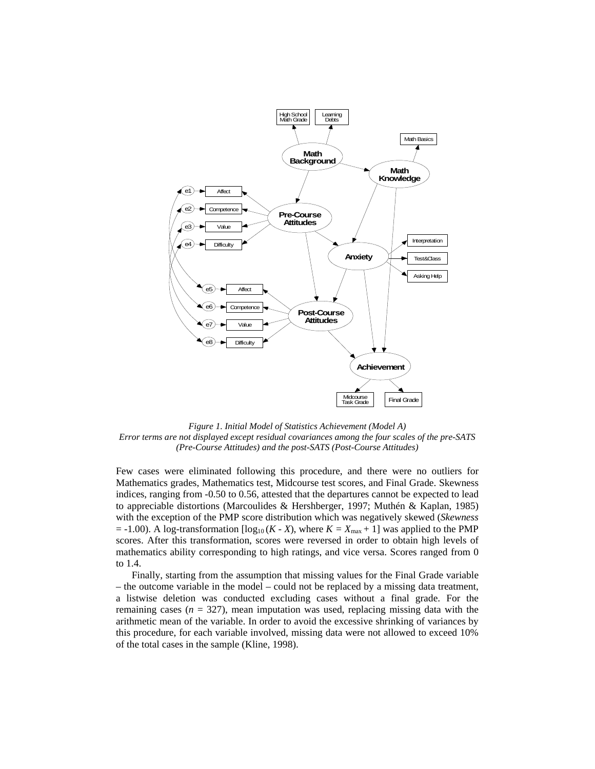

*Figure 1. Initial Model of Statistics Achievement (Model A) Error terms are not displayed except residual covariances among the four scales of the pre-SATS (Pre-Course Attitudes) and the post-SATS (Post-Course Attitudes)* 

Few cases were eliminated following this procedure, and there were no outliers for Mathematics grades, Mathematics test, Midcourse test scores, and Final Grade. Skewness indices, ranging from -0.50 to 0.56, attested that the departures cannot be expected to lead to appreciable distortions (Marcoulides & Hershberger, 1997; Muthén & Kaplan, 1985) with the exception of the PMP score distribution which was negatively skewed (*Skewness*  $= -1.00$ ). A log-transformation  $[\log_{10} (K - X)]$ , where  $K = X_{\text{max}} + 1$  was applied to the PMP scores. After this transformation, scores were reversed in order to obtain high levels of mathematics ability corresponding to high ratings, and vice versa. Scores ranged from 0 to 1.4.

Finally, starting from the assumption that missing values for the Final Grade variable – the outcome variable in the model – could not be replaced by a missing data treatment, a listwise deletion was conducted excluding cases without a final grade. For the remaining cases  $(n = 327)$ , mean imputation was used, replacing missing data with the arithmetic mean of the variable. In order to avoid the excessive shrinking of variances by this procedure, for each variable involved, missing data were not allowed to exceed 10% of the total cases in the sample (Kline, 1998).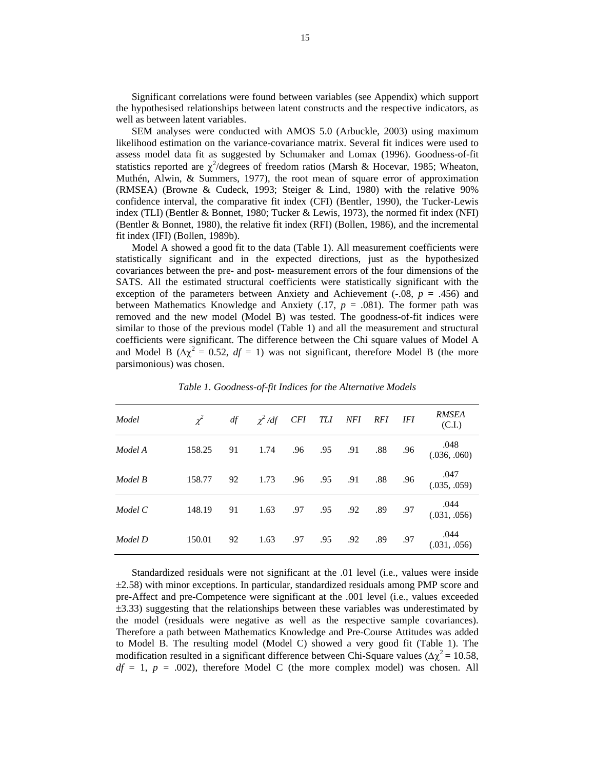Significant correlations were found between variables (see Appendix) which support the hypothesised relationships between latent constructs and the respective indicators, as well as between latent variables.

SEM analyses were conducted with AMOS 5.0 (Arbuckle, 2003) using maximum likelihood estimation on the variance-covariance matrix. Several fit indices were used to assess model data fit as suggested by Schumaker and Lomax (1996). Goodness-of-fit statistics reported are  $\chi^2$ /degrees of freedom ratios (Marsh & Hocevar, 1985; Wheaton, Muthén, Alwin, & Summers, 1977), the root mean of square error of approximation (RMSEA) (Browne & Cudeck, 1993; Steiger & Lind, 1980) with the relative 90% confidence interval, the comparative fit index (CFI) (Bentler, 1990), the Tucker-Lewis index (TLI) (Bentler & Bonnet, 1980; Tucker & Lewis, 1973), the normed fit index (NFI) (Bentler & Bonnet, 1980), the relative fit index (RFI) (Bollen, 1986), and the incremental fit index (IFI) (Bollen, 1989b).

Model A showed a good fit to the data (Table 1). All measurement coefficients were statistically significant and in the expected directions, just as the hypothesized covariances between the pre- and post- measurement errors of the four dimensions of the SATS. All the estimated structural coefficients were statistically significant with the exception of the parameters between Anxiety and Achievement  $(-.08, p = .456)$  and between Mathematics Knowledge and Anxiety  $(.17, p = .081)$ . The former path was removed and the new model (Model B) was tested. The goodness-of-fit indices were similar to those of the previous model (Table 1) and all the measurement and structural coefficients were significant. The difference between the Chi square values of Model A and Model B ( $\Delta \chi^2 = 0.52$ ,  $df = 1$ ) was not significant, therefore Model B (the more parsimonious) was chosen.

| Model   | $\chi^2$ | df | $\chi^2$ /df CFI TLI NFI RFI IFI |     |     |             |         |         | <b>RMSEA</b><br>(C.I.)         |
|---------|----------|----|----------------------------------|-----|-----|-------------|---------|---------|--------------------------------|
| Model A | 158.25   | 91 | 1.74                             |     |     | .96 .95 .91 |         | .88 .96 | $.048$<br>$(.036, .060)$       |
| Model B | 158.77   | 92 | 1.73                             | .96 |     | .95 .91     | .88 .96 |         | $.047$<br>$(.035, .059)$       |
| Model C | 148.19   | 91 | 1.63                             | .97 |     | .95 .92     | .89 .97 |         | .044<br>$.044$<br>(.031, .056) |
| Model D | 150.01   | 92 | 1.63                             | .97 | .95 | .92         | .89     | .97     | .044<br>(.031, .056)           |

*Table 1. Goodness-of-fit Indices for the Alternative Models* 

Standardized residuals were not significant at the .01 level (i.e., values were inside ±2.58) with minor exceptions. In particular, standardized residuals among PMP score and pre-Affect and pre-Competence were significant at the .001 level (i.e., values exceeded ±3.33) suggesting that the relationships between these variables was underestimated by the model (residuals were negative as well as the respective sample covariances). Therefore a path between Mathematics Knowledge and Pre-Course Attitudes was added to Model B. The resulting model (Model C) showed a very good fit (Table 1). The modification resulted in a significant difference between Chi-Square values ( $\Delta \chi^2 = 10.58$ ,  $df = 1$ ,  $p = .002$ ), therefore Model C (the more complex model) was chosen. All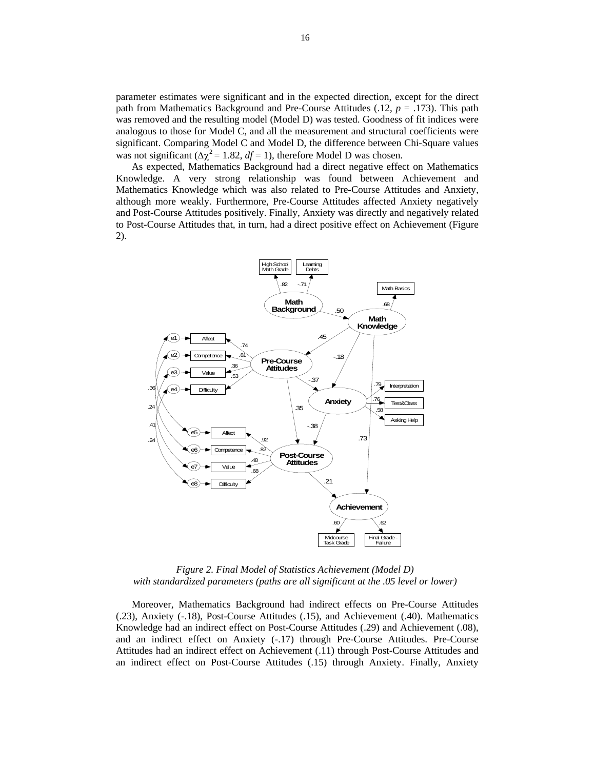parameter estimates were significant and in the expected direction, except for the direct path from Mathematics Background and Pre-Course Attitudes (.12, *p* = .173). This path was removed and the resulting model (Model D) was tested. Goodness of fit indices were analogous to those for Model C, and all the measurement and structural coefficients were significant. Comparing Model C and Model D, the difference between Chi-Square values was not significant ( $\Delta \chi^2 = 1.82$ ,  $df = 1$ ), therefore Model D was chosen.

As expected, Mathematics Background had a direct negative effect on Mathematics Knowledge. A very strong relationship was found between Achievement and Mathematics Knowledge which was also related to Pre-Course Attitudes and Anxiety, although more weakly. Furthermore, Pre-Course Attitudes affected Anxiety negatively and Post-Course Attitudes positively. Finally, Anxiety was directly and negatively related to Post-Course Attitudes that, in turn, had a direct positive effect on Achievement (Figure 2).



*Figure 2. Final Model of Statistics Achievement (Model D) with standardized parameters (paths are all significant at the .05 level or lower)* 

Moreover, Mathematics Background had indirect effects on Pre-Course Attitudes (.23), Anxiety (-.18), Post-Course Attitudes (.15), and Achievement (.40). Mathematics Knowledge had an indirect effect on Post-Course Attitudes (.29) and Achievement (.08), and an indirect effect on Anxiety (-.17) through Pre-Course Attitudes. Pre-Course Attitudes had an indirect effect on Achievement (.11) through Post-Course Attitudes and an indirect effect on Post-Course Attitudes (.15) through Anxiety. Finally, Anxiety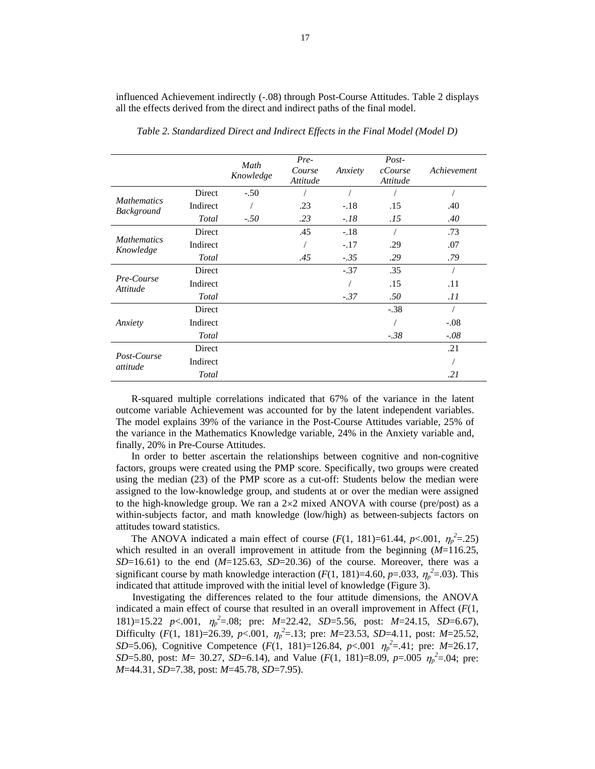|                                         |          | Math<br>Knowledge | Pre-<br>Course<br>Attitude | Anxiety | $Post-$<br>cCourse<br>Attitude | Achievement |
|-----------------------------------------|----------|-------------------|----------------------------|---------|--------------------------------|-------------|
|                                         | Direct   | $-.50$            |                            |         |                                |             |
| <b>Mathematics</b><br><b>Background</b> | Indirect |                   | .23                        | $-.18$  | .15                            | .40         |
|                                         | Total    | $-.50$            | .23                        | $-.18$  | .15                            | .40         |
|                                         | Direct   |                   | .45                        | $-.18$  |                                | .73         |
| <b>Mathematics</b><br>Knowledge         | Indirect |                   |                            | $-.17$  | .29                            | .07         |
|                                         | Total    |                   | .45                        | $-.35$  | .29                            | .79         |
|                                         | Direct   |                   |                            | $-.37$  | .35                            |             |
| Pre-Course<br>Attitude                  | Indirect |                   |                            |         | .15                            | .11         |
|                                         | Total    |                   |                            | $-.37$  | .50                            | .11         |
|                                         | Direct   |                   |                            |         | $-.38$                         | $\sqrt{2}$  |
| Anxiety                                 | Indirect |                   |                            |         |                                | $-.08$      |
|                                         | Total    |                   |                            |         | $-.38$                         | $-.08$      |
|                                         | Direct   |                   |                            |         |                                | .21         |
| Post-Course<br>attitude                 | Indirect |                   |                            |         |                                |             |
|                                         | Total    |                   |                            |         |                                | .21         |

influenced Achievement indirectly (-.08) through Post-Course Attitudes. Table 2 displays all the effects derived from the direct and indirect paths of the final model.

*Table 2. Standardized Direct and Indirect Effects in the Final Model (Model D)* 

R-squared multiple correlations indicated that 67% of the variance in the latent outcome variable Achievement was accounted for by the latent independent variables. The model explains 39% of the variance in the Post-Course Attitudes variable, 25% of the variance in the Mathematics Knowledge variable, 24% in the Anxiety variable and, finally, 20% in Pre-Course Attitudes.

In order to better ascertain the relationships between cognitive and non-cognitive factors, groups were created using the PMP score. Specifically, two groups were created using the median (23) of the PMP score as a cut-off: Students below the median were assigned to the low-knowledge group, and students at or over the median were assigned to the high-knowledge group. We ran a  $2\times2$  mixed ANOVA with course (pre/post) as a within-subjects factor, and math knowledge (low/high) as between-subjects factors on attitudes toward statistics.

The ANOVA indicated a main effect of course (*F*(1, 181)=61.44, *p*<.001,  $\eta_p^2$ =.25) which resulted in an overall improvement in attitude from the beginning (*M*=116.25,  $SD=16.61$ ) to the end  $(M=125.63, SD=20.36)$  of the course. Moreover, there was a significant course by math knowledge interaction ( $F(1, 181)$ =4.60,  $p$ =.033,  $\eta_p^2$ =.03). This indicated that attitude improved with the initial level of knowledge (Figure 3).

Investigating the differences related to the four attitude dimensions, the ANOVA indicated a main effect of course that resulted in an overall improvement in Affect  $(F(1,$ 181)=15.22 *p*<.001,  $\eta_p^2 = .08$ ; pre: *M*=22.42, *SD*=5.56, post: *M*=24.15, *SD*=6.67), Difficulty ( $F(1, 181)=26.39$ ,  $p<.001$ ,  $\eta_p^2=.13$ ; pre:  $M=23.53$ ,  $SD=4.11$ , post:  $M=25.52$ , *SD*=5.06), Cognitive Competence  $(F(1, 181)=126.84, p<.001$   $\eta_p^2=0.41$ ; pre: *M*=26.17, *SD*=5.80, post: *M*= 30.27, *SD*=6.14), and Value (*F*(1, 181)=8.09, *p*=.005  $\eta_p^2$ =.04; pre: *M*=44.31, *SD*=7.38, post: *M*=45.78, *SD*=7.95).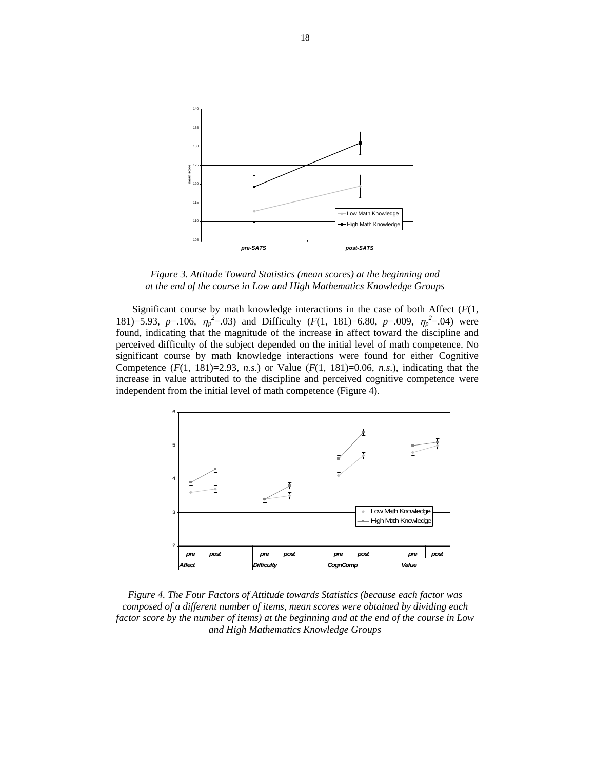

*Figure 3. Attitude Toward Statistics (mean scores) at the beginning and at the end of the course in Low and High Mathematics Knowledge Groups*

Significant course by math knowledge interactions in the case of both Affect (*F*(1, 181)=5.93, *p*=.106,  $\eta_p^2$ =.03) and Difficulty (*F*(1, 181)=6.80, *p*=.009,  $\eta_p^2$ =.04) were found, indicating that the magnitude of the increase in affect toward the discipline and perceived difficulty of the subject depended on the initial level of math competence. No significant course by math knowledge interactions were found for either Cognitive Competence  $(F(1, 181)=2.93, n.s.)$  or Value  $(F(1, 181)=0.06, n.s.)$ , indicating that the increase in value attributed to the discipline and perceived cognitive competence were independent from the initial level of math competence (Figure 4).



*Figure 4. The Four Factors of Attitude towards Statistics (because each factor was composed of a different number of items, mean scores were obtained by dividing each factor score by the number of items) at the beginning and at the end of the course in Low and High Mathematics Knowledge Groups*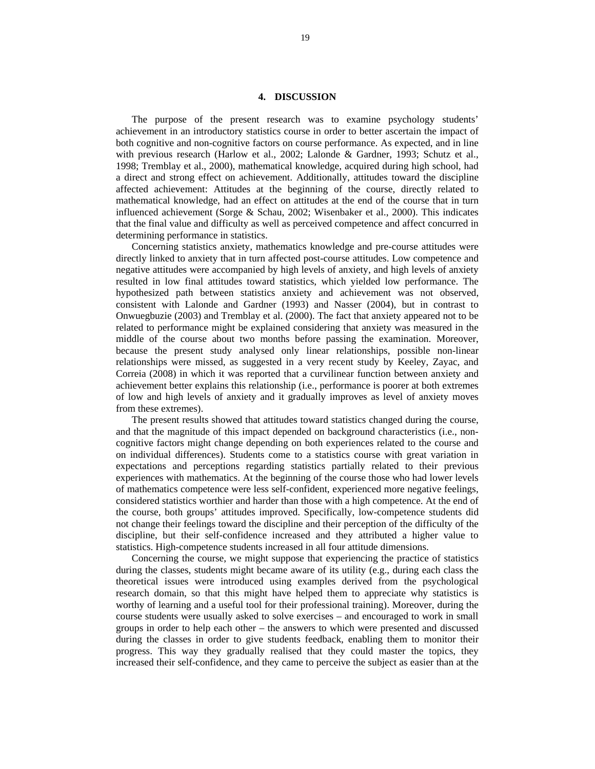### **4. DISCUSSION**

The purpose of the present research was to examine psychology students' achievement in an introductory statistics course in order to better ascertain the impact of both cognitive and non-cognitive factors on course performance. As expected, and in line with previous research (Harlow et al., 2002; Lalonde & Gardner, 1993; Schutz et al., 1998; Tremblay et al., 2000), mathematical knowledge, acquired during high school, had a direct and strong effect on achievement. Additionally, attitudes toward the discipline affected achievement: Attitudes at the beginning of the course, directly related to mathematical knowledge, had an effect on attitudes at the end of the course that in turn influenced achievement (Sorge & Schau, 2002; Wisenbaker et al., 2000). This indicates that the final value and difficulty as well as perceived competence and affect concurred in determining performance in statistics.

Concerning statistics anxiety, mathematics knowledge and pre-course attitudes were directly linked to anxiety that in turn affected post-course attitudes. Low competence and negative attitudes were accompanied by high levels of anxiety, and high levels of anxiety resulted in low final attitudes toward statistics, which yielded low performance. The hypothesized path between statistics anxiety and achievement was not observed, consistent with Lalonde and Gardner (1993) and Nasser (2004), but in contrast to Onwuegbuzie (2003) and Tremblay et al. (2000). The fact that anxiety appeared not to be related to performance might be explained considering that anxiety was measured in the middle of the course about two months before passing the examination. Moreover, because the present study analysed only linear relationships, possible non-linear relationships were missed, as suggested in a very recent study by Keeley, Zayac, and Correia (2008) in which it was reported that a curvilinear function between anxiety and achievement better explains this relationship (i.e., performance is poorer at both extremes of low and high levels of anxiety and it gradually improves as level of anxiety moves from these extremes).

The present results showed that attitudes toward statistics changed during the course, and that the magnitude of this impact depended on background characteristics (i.e., noncognitive factors might change depending on both experiences related to the course and on individual differences). Students come to a statistics course with great variation in expectations and perceptions regarding statistics partially related to their previous experiences with mathematics. At the beginning of the course those who had lower levels of mathematics competence were less self-confident, experienced more negative feelings, considered statistics worthier and harder than those with a high competence. At the end of the course, both groups' attitudes improved. Specifically, low-competence students did not change their feelings toward the discipline and their perception of the difficulty of the discipline, but their self-confidence increased and they attributed a higher value to statistics. High-competence students increased in all four attitude dimensions.

Concerning the course, we might suppose that experiencing the practice of statistics during the classes, students might became aware of its utility (e.g., during each class the theoretical issues were introduced using examples derived from the psychological research domain, so that this might have helped them to appreciate why statistics is worthy of learning and a useful tool for their professional training). Moreover, during the course students were usually asked to solve exercises – and encouraged to work in small groups in order to help each other – the answers to which were presented and discussed during the classes in order to give students feedback, enabling them to monitor their progress. This way they gradually realised that they could master the topics, they increased their self-confidence, and they came to perceive the subject as easier than at the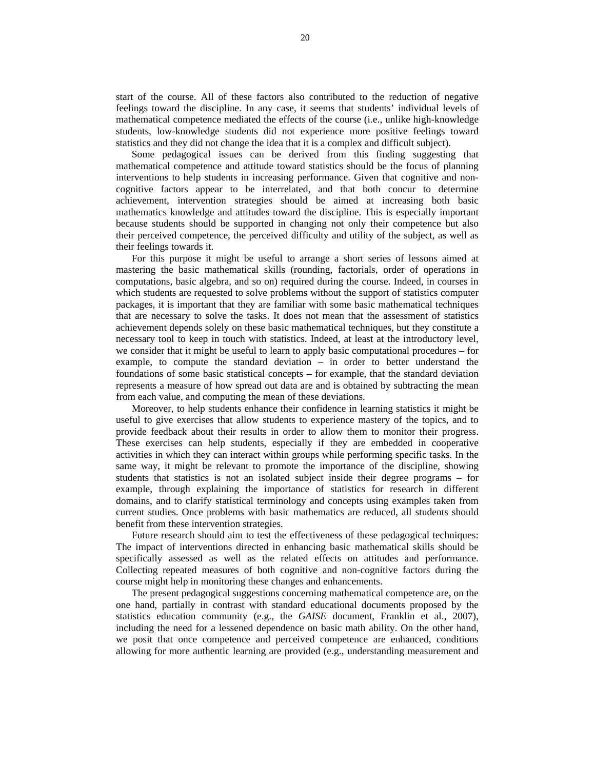start of the course. All of these factors also contributed to the reduction of negative feelings toward the discipline. In any case, it seems that students' individual levels of mathematical competence mediated the effects of the course (i.e., unlike high-knowledge students, low-knowledge students did not experience more positive feelings toward statistics and they did not change the idea that it is a complex and difficult subject).

Some pedagogical issues can be derived from this finding suggesting that mathematical competence and attitude toward statistics should be the focus of planning interventions to help students in increasing performance. Given that cognitive and noncognitive factors appear to be interrelated, and that both concur to determine achievement, intervention strategies should be aimed at increasing both basic mathematics knowledge and attitudes toward the discipline. This is especially important because students should be supported in changing not only their competence but also their perceived competence, the perceived difficulty and utility of the subject, as well as their feelings towards it.

For this purpose it might be useful to arrange a short series of lessons aimed at mastering the basic mathematical skills (rounding, factorials, order of operations in computations, basic algebra, and so on) required during the course. Indeed, in courses in which students are requested to solve problems without the support of statistics computer packages, it is important that they are familiar with some basic mathematical techniques that are necessary to solve the tasks. It does not mean that the assessment of statistics achievement depends solely on these basic mathematical techniques, but they constitute a necessary tool to keep in touch with statistics. Indeed, at least at the introductory level, we consider that it might be useful to learn to apply basic computational procedures – for example, to compute the standard deviation – in order to better understand the foundations of some basic statistical concepts – for example, that the standard deviation represents a measure of how spread out data are and is obtained by subtracting the mean from each value, and computing the mean of these deviations.

Moreover, to help students enhance their confidence in learning statistics it might be useful to give exercises that allow students to experience mastery of the topics, and to provide feedback about their results in order to allow them to monitor their progress. These exercises can help students, especially if they are embedded in cooperative activities in which they can interact within groups while performing specific tasks. In the same way, it might be relevant to promote the importance of the discipline, showing students that statistics is not an isolated subject inside their degree programs – for example, through explaining the importance of statistics for research in different domains, and to clarify statistical terminology and concepts using examples taken from current studies. Once problems with basic mathematics are reduced, all students should benefit from these intervention strategies.

Future research should aim to test the effectiveness of these pedagogical techniques: The impact of interventions directed in enhancing basic mathematical skills should be specifically assessed as well as the related effects on attitudes and performance. Collecting repeated measures of both cognitive and non-cognitive factors during the course might help in monitoring these changes and enhancements.

The present pedagogical suggestions concerning mathematical competence are, on the one hand, partially in contrast with standard educational documents proposed by the statistics education community (e.g., the *GAISE* document, Franklin et al., 2007), including the need for a lessened dependence on basic math ability. On the other hand, we posit that once competence and perceived competence are enhanced, conditions allowing for more authentic learning are provided (e.g., understanding measurement and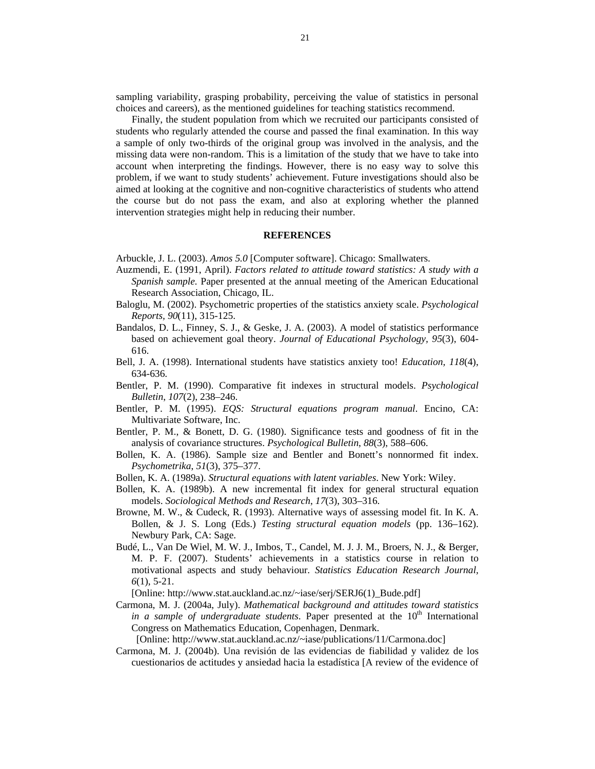sampling variability, grasping probability, perceiving the value of statistics in personal choices and careers), as the mentioned guidelines for teaching statistics recommend.

Finally, the student population from which we recruited our participants consisted of students who regularly attended the course and passed the final examination. In this way a sample of only two-thirds of the original group was involved in the analysis, and the missing data were non-random. This is a limitation of the study that we have to take into account when interpreting the findings. However, there is no easy way to solve this problem, if we want to study students' achievement. Future investigations should also be aimed at looking at the cognitive and non-cognitive characteristics of students who attend the course but do not pass the exam, and also at exploring whether the planned intervention strategies might help in reducing their number.

#### **REFERENCES**

Arbuckle, J. L. (2003). *Amos 5.0* [Computer software]. Chicago: Smallwaters.

- Auzmendi, E. (1991, April). *Factors related to attitude toward statistics: A study with a Spanish sample.* Paper presented at the annual meeting of the American Educational Research Association, Chicago, IL.
- Baloglu, M. (2002). Psychometric properties of the statistics anxiety scale. *Psychological Reports, 90*(11), 315-125.
- Bandalos, D. L., Finney, S. J., & Geske, J. A. (2003). A model of statistics performance based on achievement goal theory. *Journal of Educational Psychology, 95*(3), 604- 616.
- Bell, J. A. (1998). International students have statistics anxiety too! *Education, 118*(4), 634-636.
- Bentler, P. M. (1990). Comparative fit indexes in structural models. *Psychological Bulletin*, *107*(2), 238–246.
- Bentler, P. M. (1995). *EQS: Structural equations program manual*. Encino, CA: Multivariate Software, Inc.
- Bentler, P. M., & Bonett, D. G. (1980). Significance tests and goodness of fit in the analysis of covariance structures. *Psychological Bulletin*, *88*(3), 588–606.
- Bollen, K. A. (1986). Sample size and Bentler and Bonett's nonnormed fit index. *Psychometrika*, *51*(3), 375–377.
- Bollen, K. A. (1989a). *Structural equations with latent variables*. New York: Wiley.
- Bollen, K. A. (1989b). A new incremental fit index for general structural equation models. *Sociological Methods and Research*, *17*(3), 303–316.
- Browne, M. W., & Cudeck, R. (1993). Alternative ways of assessing model fit. In K. A. Bollen, & J. S. Long (Eds.) *Testing structural equation models* (pp. 136–162). Newbury Park, CA: Sage.
- Budé, L., Van De Wiel, M. W. J., Imbos, T., Candel, M. J. J. M., Broers, N. J., & Berger, M. P. F. (2007). Students' achievements in a statistics course in relation to motivational aspects and study behaviour. *Statistics Education Research Journal, 6*(1), 5-21.
- [Online: http://www.stat.auckland.ac.nz/~iase/serj/SERJ6(1)\_Bude.pdf]
- Carmona, M. J. (2004a, July). *Mathematical background and attitudes toward statistics in a sample of undergraduate students*. Paper presented at the 10<sup>th</sup> International Congress on Mathematics Education, Copenhagen, Denmark.

[Online: http://www.stat.auckland.ac.nz/~iase/publications/11/Carmona.doc]

Carmona, M. J. (2004b). Una revisión de las evidencias de fiabilidad y validez de los cuestionarios de actitudes y ansiedad hacia la estadística [A review of the evidence of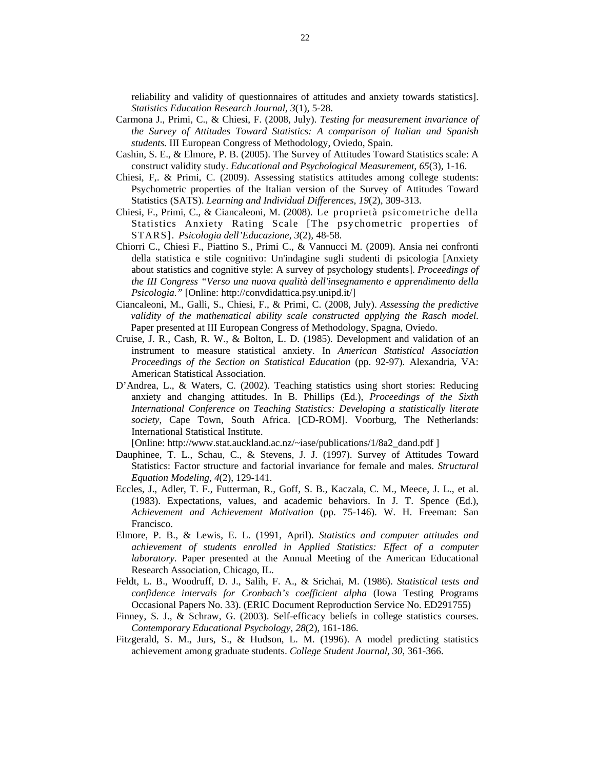reliability and validity of questionnaires of attitudes and anxiety towards statistics]. *Statistics Education Research Journal, 3*(1)*,* 5-28.

- Carmona J., Primi, C., & Chiesi, F. (2008, July). *Testing for measurement invariance of the Survey of Attitudes Toward Statistics: A comparison of Italian and Spanish students.* III European Congress of Methodology, Oviedo, Spain.
- Cashin, S. E., & Elmore, P. B. (2005). The Survey of Attitudes Toward Statistics scale: A construct validity study. *Educational and Psychological Measurement, 65*(3)*,* 1-16.
- Chiesi, F,. & Primi, C. (2009). Assessing statistics attitudes among college students: Psychometric properties of the Italian version of the Survey of Attitudes Toward Statistics (SATS). *Learning and Individual Differences*, *19*(2), 309-313.
- Chiesi, F., Primi, C., & Ciancaleoni, M. (2008). Le proprietà psicometriche della Statistics Anxiety Rating Scale [The psychometric properties of STARS]. *Psicologia dell'Educazione, 3*(2)*,* 48-58*.*
- Chiorri C., Chiesi F., Piattino S., Primi C., & Vannucci M. (2009). Ansia nei confronti della statistica e stile cognitivo: Un'indagine sugli studenti di psicologia [Anxiety about statistics and cognitive style: A survey of psychology students]. *Proceedings of the III Congress "Verso una nuova qualità dell'insegnamento e apprendimento della Psicologia."* [Online: http://convdidattica.psy.unipd.it/]
- Ciancaleoni, M., Galli, S., Chiesi, F., & Primi, C. (2008, July). *Assessing the predictive validity of the mathematical ability scale constructed applying the Rasch model*. Paper presented at III European Congress of Methodology, Spagna, Oviedo.
- Cruise, J. R., Cash, R. W., & Bolton, L. D. (1985). Development and validation of an instrument to measure statistical anxiety. In *American Statistical Association Proceedings of the Section on Statistical Education* (pp. 92-97). Alexandria, VA: American Statistical Association.
- D'Andrea, L., & Waters, C. (2002). Teaching statistics using short stories: Reducing anxiety and changing attitudes. In B. Phillips (Ed.), *Proceedings of the Sixth International Conference on Teaching Statistics: Developing a statistically literate society*, Cape Town, South Africa. [CD-ROM]. Voorburg, The Netherlands: International Statistical Institute.

[Online: http://www.stat.auckland.ac.nz/~iase/publications/1/8a2\_dand.pdf ]

- Dauphinee, T. L., Schau, C., & Stevens, J. J. (1997). Survey of Attitudes Toward Statistics: Factor structure and factorial invariance for female and males. *Structural Equation Modeling, 4*(2), 129-141.
- Eccles, J., Adler, T. F., Futterman, R., Goff, S. B., Kaczala, C. M., Meece, J. L., et al. (1983). Expectations, values, and academic behaviors. In J. T. Spence (Ed.), *Achievement and Achievement Motivation* (pp. 75-146). W. H. Freeman: San Francisco.
- Elmore, P. B., & Lewis, E. L. (1991, April). *Statistics and computer attitudes and achievement of students enrolled in Applied Statistics: Effect of a computer laboratory*. Paper presented at the Annual Meeting of the American Educational Research Association, Chicago, IL.
- Feldt, L. B., Woodruff, D. J., Salih, F. A., & Srichai, M. (1986). *Statistical tests and confidence intervals for Cronbach's coefficient alpha* (Iowa Testing Programs Occasional Papers No. 33). (ERIC Document Reproduction Service No. ED291755)
- Finney, S. J., & Schraw, G. (2003). Self-efficacy beliefs in college statistics courses. *Contemporary Educational Psychology, 28*(2), 161-186.
- Fitzgerald, S. M., Jurs, S., & Hudson, L. M. (1996). A model predicting statistics achievement among graduate students. *College Student Journal, 30*, 361-366.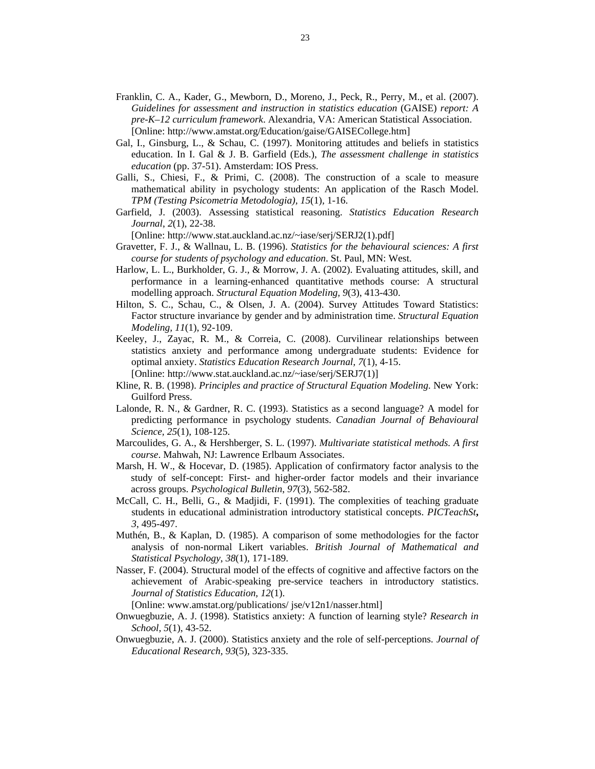- Franklin, C. A., Kader, G., Mewborn, D., Moreno, J., Peck, R., Perry, M., et al. (2007). *Guidelines for assessment and instruction in statistics education* (GAISE) *report: A pre-K–12 curriculum framework*. Alexandria, VA: American Statistical Association. [Online: http://www.amstat.org/Education/gaise/GAISECollege.htm]
- Gal, I., Ginsburg, L., & Schau, C. (1997). Monitoring attitudes and beliefs in statistics education. In I. Gal & J. B. Garfield (Eds.), *The assessment challenge in statistics education* (pp. 37-51). Amsterdam: IOS Press.
- Galli, S., Chiesi, F., & Primi, C. (2008). The construction of a scale to measure mathematical ability in psychology students: An application of the Rasch Model. *TPM (Testing Psicometria Metodologia), 15*(1)*,* 1-16.
- Garfield, J. (2003). Assessing statistical reasoning. *Statistics Education Research Journal*, *2*(1), 22-38.

[Online: http://www.stat.auckland.ac.nz/~iase/serj/SERJ2(1).pdf]

- Gravetter, F. J., & Wallnau, L. B. (1996). *Statistics for the behavioural sciences: A first course for students of psychology and education*. St. Paul, MN: West.
- Harlow, L. L., Burkholder, G. J., & Morrow, J. A. (2002). Evaluating attitudes, skill, and performance in a learning-enhanced quantitative methods course: A structural modelling approach. *Structural Equation Modeling, 9*(3), 413-430.
- Hilton, S. C., Schau, C., & Olsen, J. A. (2004). Survey Attitudes Toward Statistics: Factor structure invariance by gender and by administration time. *Structural Equation Modeling, 11*(1), 92-109.
- Keeley, J., Zayac, R. M., & Correia, C. (2008). Curvilinear relationships between statistics anxiety and performance among undergraduate students: Evidence for optimal anxiety. *Statistics Education Research Journal, 7*(1), 4-15. [Online: http://www.stat.auckland.ac.nz/~iase/serj/SERJ7(1)]
- Kline, R. B. (1998). *Principles and practice of Structural Equation Modeling*. New York: Guilford Press.
- Lalonde, R. N., & Gardner, R. C. (1993). Statistics as a second language? A model for predicting performance in psychology students. *Canadian Journal of Behavioural Science, 25*(1), 108-125.
- Marcoulides, G. A., & Hershberger, S. L. (1997). *Multivariate statistical methods. A first course*. Mahwah, NJ: Lawrence Erlbaum Associates.
- Marsh, H. W., & Hocevar, D. (1985). Application of confirmatory factor analysis to the study of self-concept: First- and higher-order factor models and their invariance across groups. *Psychological Bulletin*, *97*(3), 562-582.
- McCall, C. H., Belli, G., & Madjidi, F. (1991). The complexities of teaching graduate students in educational administration introductory statistical concepts. *PICTeachSt***,**  *3*, 495-497.
- Muthén, B., & Kaplan, D. (1985). A comparison of some methodologies for the factor analysis of non-normal Likert variables. *British Journal of Mathematical and Statistical Psychology*, *38*(1), 171-189.
- Nasser, F. (2004). Structural model of the effects of cognitive and affective factors on the achievement of Arabic-speaking pre-service teachers in introductory statistics. *Journal of Statistics Education, 12*(1).

[Online: www.amstat.org/publications/ jse/v12n1/nasser.html]

- Onwuegbuzie, A. J. (1998). Statistics anxiety: A function of learning style? *Research in School, 5*(1), 43-52.
- Onwuegbuzie, A. J. (2000). Statistics anxiety and the role of self-perceptions. *Journal of Educational Research, 93*(5)*,* 323-335.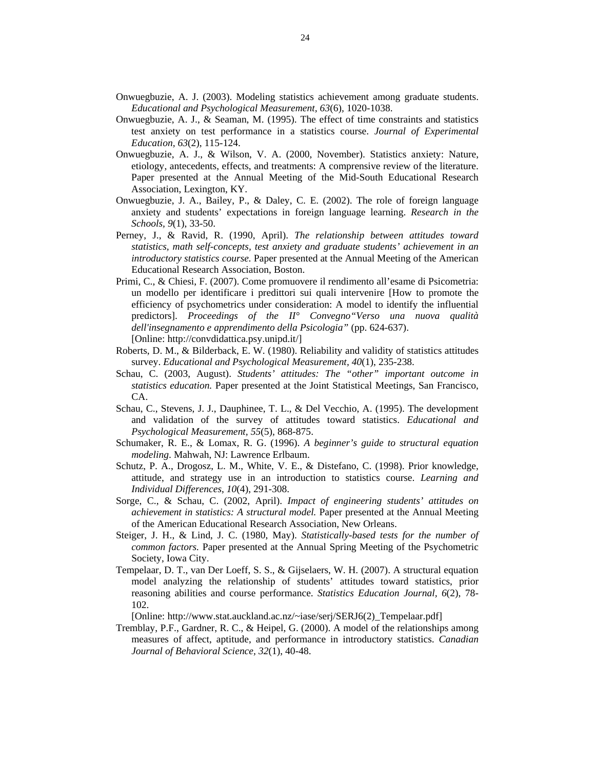- Onwuegbuzie, A. J. (2003). Modeling statistics achievement among graduate students. *Educational and Psychological Measurement, 63*(6)*,* 1020-1038.
- Onwuegbuzie, A. J., & Seaman, M. (1995). The effect of time constraints and statistics test anxiety on test performance in a statistics course. *Journal of Experimental Education, 63*(2), 115-124.
- Onwuegbuzie, A. J., & Wilson, V. A. (2000, November). Statistics anxiety: Nature, etiology, antecedents, effects, and treatments: A comprensive review of the literature. Paper presented at the Annual Meeting of the Mid-South Educational Research Association, Lexington, KY.
- Onwuegbuzie, J. A., Bailey, P., & Daley, C. E. (2002). The role of foreign language anxiety and students' expectations in foreign language learning. *Research in the Schools, 9*(1), 33-50.
- Perney, J., & Ravid, R. (1990, April). *The relationship between attitudes toward statistics, math self-concepts, test anxiety and graduate students' achievement in an introductory statistics course.* Paper presented at the Annual Meeting of the American Educational Research Association, Boston.
- Primi, C., & Chiesi, F. (2007). Come promuovere il rendimento all'esame di Psicometria: un modello per identificare i predittori sui quali intervenire [How to promote the efficiency of psychometrics under consideration: A model to identify the influential predictors]. *Proceedings of the II° Convegno"Verso una nuova qualità dell'insegnamento e apprendimento della Psicologia"* (pp. 624-637). [Online: http://convdidattica.psy.unipd.it/]
- Roberts, D. M., & Bilderback, E. W. (1980). Reliability and validity of statistics attitudes survey. *Educational and Psychological Measurement, 40*(1), 235-238.
- Schau, C. (2003, August). *Students' attitudes: The "other" important outcome in statistics education.* Paper presented at the Joint Statistical Meetings, San Francisco, CA.
- Schau, C., Stevens, J. J., Dauphinee, T. L., & Del Vecchio, A. (1995). The development and validation of the survey of attitudes toward statistics. *Educational and Psychological Measurement, 55*(5)*,* 868-875.
- Schumaker, R. E., & Lomax, R. G. (1996). *A beginner's guide to structural equation modeling*. Mahwah, NJ: Lawrence Erlbaum.
- Schutz, P. A., Drogosz, L. M., White, V. E., & Distefano, C. (1998). Prior knowledge, attitude, and strategy use in an introduction to statistics course. *Learning and Individual Differences*, *10*(4), 291-308.
- Sorge, C., & Schau, C. (2002, April). *Impact of engineering students' attitudes on achievement in statistics: A structural model.* Paper presented at the Annual Meeting of the American Educational Research Association, New Orleans.
- Steiger, J. H., & Lind, J. C. (1980, May). *Statistically-based tests for the number of common factors.* Paper presented at the Annual Spring Meeting of the Psychometric Society, Iowa City.
- Tempelaar, D. T., van Der Loeff, S. S., & Gijselaers, W. H. (2007). A structural equation model analyzing the relationship of students' attitudes toward statistics, prior reasoning abilities and course performance. *Statistics Education Journal, 6*(2), 78- 102.

[Online: http://www.stat.auckland.ac.nz/~iase/serj/SERJ6(2)\_Tempelaar.pdf]

Tremblay, P.F., Gardner, R. C., & Heipel, G. (2000). A model of the relationships among measures of affect, aptitude, and performance in introductory statistics. *Canadian Journal of Behavioral Science, 32*(1), 40-48.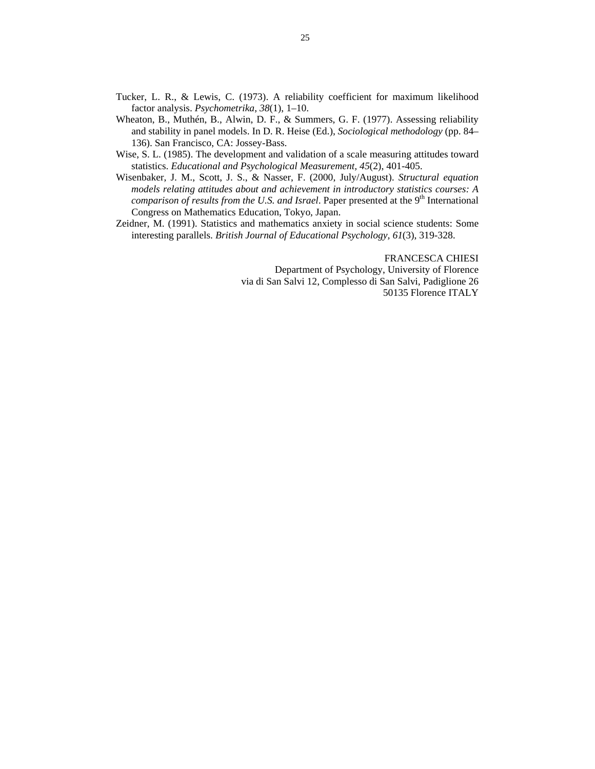- Tucker, L. R., & Lewis, C. (1973). A reliability coefficient for maximum likelihood factor analysis. *Psychometrika*, *38*(1), 1–10.
- Wheaton, B., Muthén, B., Alwin, D. F., & Summers, G. F. (1977). Assessing reliability and stability in panel models. In D. R. Heise (Ed.), *Sociological methodology* (pp. 84– 136). San Francisco, CA: Jossey-Bass.
- Wise, S. L. (1985). The development and validation of a scale measuring attitudes toward statistics. *Educational and Psychological Measurement, 45*(2), 401-405.
- Wisenbaker, J. M., Scott, J. S., & Nasser, F. (2000, July/August). *Structural equation models relating attitudes about and achievement in introductory statistics courses: A comparison of results from the U.S. and Israel.* Paper presented at the 9<sup>th</sup> International Congress on Mathematics Education, Tokyo, Japan.
- Zeidner, M. (1991). Statistics and mathematics anxiety in social science students: Some interesting parallels. *British Journal of Educational Psychology, 61*(3), 319-328.

FRANCESCA CHIESI Department of Psychology, University of Florence via di San Salvi 12, Complesso di San Salvi, Padiglione 26 50135 Florence ITALY